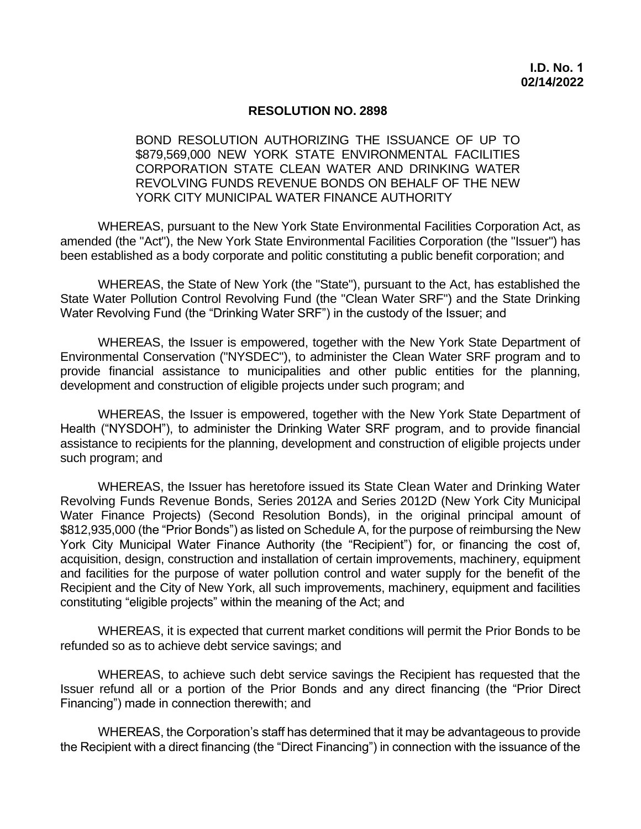## **RESOLUTION NO. 2898**

 BOND RESOLUTION AUTHORIZING THE ISSUANCE OF UP TO \$879,569,000 NEW YORK STATE ENVIRONMENTAL FACILITIES CORPORATION STATE CLEAN WATER AND DRINKING WATER REVOLVING FUNDS REVENUE BONDS ON BEHALF OF THE NEW YORK CITY MUNICIPAL WATER FINANCE AUTHORITY

 WHEREAS, pursuant to the New York State Environmental Facilities Corporation Act, as amended (the "Act"), the New York State Environmental Facilities Corporation (the "Issuer") has been established as a body corporate and politic constituting a public benefit corporation; and

 WHEREAS, the State of New York (the "State"), pursuant to the Act, has established the State Water Pollution Control Revolving Fund (the "Clean Water SRF") and the State Drinking Water Revolving Fund (the "Drinking Water SRF") in the custody of the Issuer; and

 WHEREAS, the Issuer is empowered, together with the New York State Department of Environmental Conservation ("NYSDEC"), to administer the Clean Water SRF program and to provide financial assistance to municipalities and other public entities for the planning, development and construction of eligible projects under such program; and

 WHEREAS, the Issuer is empowered, together with the New York State Department of Health ("NYSDOH"), to administer the Drinking Water SRF program, and to provide financial assistance to recipients for the planning, development and construction of eligible projects under such program; and

 WHEREAS, the Issuer has heretofore issued its State Clean Water and Drinking Water Revolving Funds Revenue Bonds, Series 2012A and Series 2012D (New York City Municipal Water Finance Projects) (Second Resolution Bonds), in the original principal amount of \$812,935,000 (the "Prior Bonds") as listed on Schedule A, for the purpose of reimbursing the New York City Municipal Water Finance Authority (the "Recipient") for, or financing the cost of, acquisition, design, construction and installation of certain improvements, machinery, equipment and facilities for the purpose of water pollution control and water supply for the benefit of the Recipient and the City of New York, all such improvements, machinery, equipment and facilities constituting "eligible projects" within the meaning of the Act; and

 WHEREAS, it is expected that current market conditions will permit the Prior Bonds to be refunded so as to achieve debt service savings; and

 WHEREAS, to achieve such debt service savings the Recipient has requested that the Issuer refund all or a portion of the Prior Bonds and any direct financing (the "Prior Direct Financing") made in connection therewith; and

 WHEREAS, the Corporation's staff has determined that it may be advantageous to provide the Recipient with a direct financing (the "Direct Financing") in connection with the issuance of the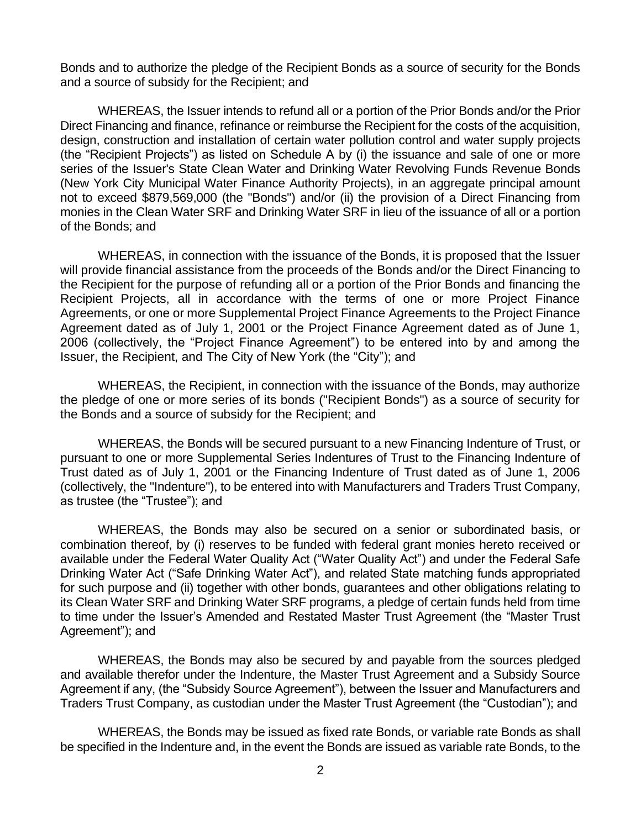Bonds and to authorize the pledge of the Recipient Bonds as a source of security for the Bonds and a source of subsidy for the Recipient; and

 WHEREAS, the Issuer intends to refund all or a portion of the Prior Bonds and/or the Prior Direct Financing and finance, refinance or reimburse the Recipient for the costs of the acquisition, design, construction and installation of certain water pollution control and water supply projects (the "Recipient Projects") as listed on Schedule A by (i) the issuance and sale of one or more series of the Issuer's State Clean Water and Drinking Water Revolving Funds Revenue Bonds (New York City Municipal Water Finance Authority Projects), in an aggregate principal amount not to exceed \$879,569,000 (the "Bonds") and/or (ii) the provision of a Direct Financing from monies in the Clean Water SRF and Drinking Water SRF in lieu of the issuance of all or a portion of the Bonds; and

 will provide financial assistance from the proceeds of the Bonds and/or the Direct Financing to the Recipient for the purpose of refunding all or a portion of the Prior Bonds and financing the Recipient Projects, all in accordance with the terms of one or more Project Finance Agreements, or one or more Supplemental Project Finance Agreements to the Project Finance Agreement dated as of July 1, 2001 or the Project Finance Agreement dated as of June 1, 2006 (collectively, the "Project Finance Agreement") to be entered into by and among the WHEREAS, in connection with the issuance of the Bonds, it is proposed that the Issuer Issuer, the Recipient, and The City of New York (the "City"); and

 WHEREAS, the Recipient, in connection with the issuance of the Bonds, may authorize the pledge of one or more series of its bonds ("Recipient Bonds") as a source of security for the Bonds and a source of subsidy for the Recipient; and

 WHEREAS, the Bonds will be secured pursuant to a new Financing Indenture of Trust, or pursuant to one or more Supplemental Series Indentures of Trust to the Financing Indenture of Trust dated as of July 1, 2001 or the Financing Indenture of Trust dated as of June 1, 2006 (collectively, the "Indenture"), to be entered into with Manufacturers and Traders Trust Company, as trustee (the "Trustee"); and

 WHEREAS, the Bonds may also be secured on a senior or subordinated basis, or combination thereof, by (i) reserves to be funded with federal grant monies hereto received or available under the Federal Water Quality Act ("Water Quality Act") and under the Federal Safe Drinking Water Act ("Safe Drinking Water Act"), and related State matching funds appropriated for such purpose and (ii) together with other bonds, guarantees and other obligations relating to its Clean Water SRF and Drinking Water SRF programs, a pledge of certain funds held from time to time under the Issuer's Amended and Restated Master Trust Agreement (the "Master Trust Agreement"); and

 WHEREAS, the Bonds may also be secured by and payable from the sources pledged and available therefor under the Indenture, the Master Trust Agreement and a Subsidy Source Agreement if any, (the "Subsidy Source Agreement"), between the Issuer and Manufacturers and Traders Trust Company, as custodian under the Master Trust Agreement (the "Custodian"); and

 WHEREAS, the Bonds may be issued as fixed rate Bonds, or variable rate Bonds as shall be specified in the Indenture and, in the event the Bonds are issued as variable rate Bonds, to the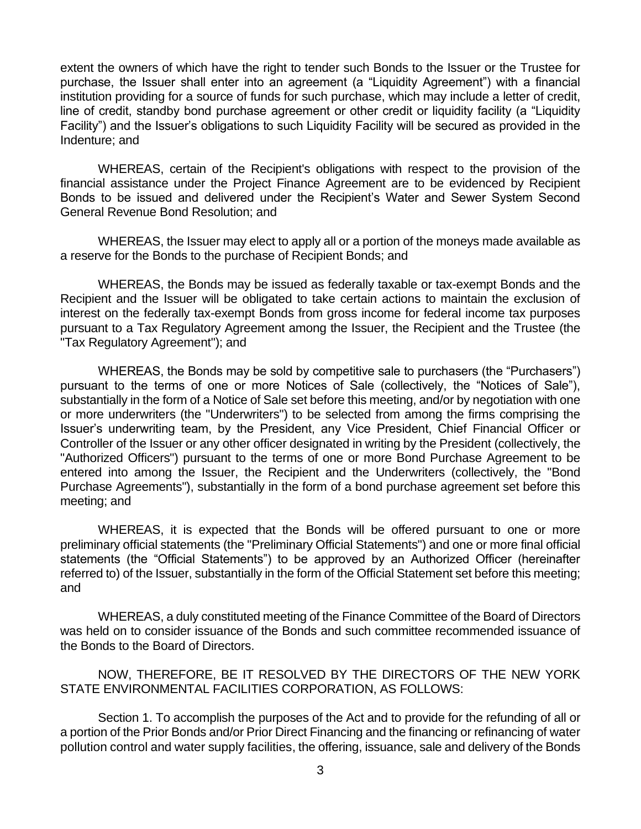extent the owners of which have the right to tender such Bonds to the Issuer or the Trustee for purchase, the Issuer shall enter into an agreement (a "Liquidity Agreement") with a financial institution providing for a source of funds for such purchase, which may include a letter of credit, line of credit, standby bond purchase agreement or other credit or liquidity facility (a "Liquidity Facility") and the Issuer's obligations to such Liquidity Facility will be secured as provided in the Indenture; and

 WHEREAS, certain of the Recipient's obligations with respect to the provision of the financial assistance under the Project Finance Agreement are to be evidenced by Recipient Bonds to be issued and delivered under the Recipient's Water and Sewer System Second General Revenue Bond Resolution; and

 WHEREAS, the Issuer may elect to apply all or a portion of the moneys made available as a reserve for the Bonds to the purchase of Recipient Bonds; and

 WHEREAS, the Bonds may be issued as federally taxable or tax-exempt Bonds and the Recipient and the Issuer will be obligated to take certain actions to maintain the exclusion of interest on the federally tax-exempt Bonds from gross income for federal income tax purposes pursuant to a Tax Regulatory Agreement among the Issuer, the Recipient and the Trustee (the "Tax Regulatory Agreement"); and

 WHEREAS, the Bonds may be sold by competitive sale to purchasers (the "Purchasers") pursuant to the terms of one or more Notices of Sale (collectively, the "Notices of Sale"), substantially in the form of a Notice of Sale set before this meeting, and/or by negotiation with one or more underwriters (the "Underwriters") to be selected from among the firms comprising the Issuer's underwriting team, by the President, any Vice President, Chief Financial Officer or Controller of the Issuer or any other officer designated in writing by the President (collectively, the "Authorized Officers") pursuant to the terms of one or more Bond Purchase Agreement to be entered into among the Issuer, the Recipient and the Underwriters (collectively, the "Bond Purchase Agreements"), substantially in the form of a bond purchase agreement set before this meeting; and

 WHEREAS, it is expected that the Bonds will be offered pursuant to one or more preliminary official statements (the "Preliminary Official Statements") and one or more final official statements (the "Official Statements") to be approved by an Authorized Officer (hereinafter referred to) of the Issuer, substantially in the form of the Official Statement set before this meeting; and

 WHEREAS, a duly constituted meeting of the Finance Committee of the Board of Directors was held on to consider issuance of the Bonds and such committee recommended issuance of the Bonds to the Board of Directors.

 NOW, THEREFORE, BE IT RESOLVED BY THE DIRECTORS OF THE NEW YORK STATE ENVIRONMENTAL FACILITIES CORPORATION, AS FOLLOWS:

 Section 1. To accomplish the purposes of the Act and to provide for the refunding of all or a portion of the Prior Bonds and/or Prior Direct Financing and the financing or refinancing of water pollution control and water supply facilities, the offering, issuance, sale and delivery of the Bonds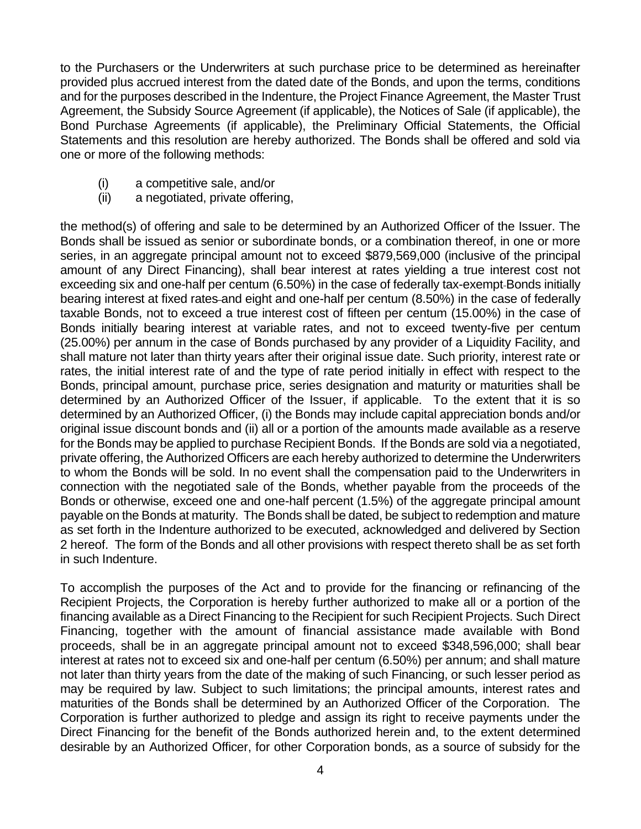to the Purchasers or the Underwriters at such purchase price to be determined as hereinafter provided plus accrued interest from the dated date of the Bonds, and upon the terms, conditions and for the purposes described in the Indenture, the Project Finance Agreement, the Master Trust Agreement, the Subsidy Source Agreement (if applicable), the Notices of Sale (if applicable), the Bond Purchase Agreements (if applicable), the Preliminary Official Statements, the Official Statements and this resolution are hereby authorized. The Bonds shall be offered and sold via one or more of the following methods:

- (i) a competitive sale, and/or
- (ii) a negotiated, private offering,

 the method(s) of offering and sale to be determined by an Authorized Officer of the Issuer. The Bonds shall be issued as senior or subordinate bonds, or a combination thereof, in one or more series, in an aggregate principal amount not to exceed \$879,569,000 (inclusive of the principal amount of any Direct Financing), shall bear interest at rates yielding a true interest cost not exceeding six and one-half per centum (6.50%) in the case of federally tax-exempt Bonds initially taxable Bonds, not to exceed a true interest cost of fifteen per centum (15.00%) in the case of Bonds initially bearing interest at variable rates, and not to exceed twenty-five per centum (25.00%) per annum in the case of Bonds purchased by any provider of a Liquidity Facility, and shall mature not later than thirty years after their original issue date. Such priority, interest rate or rates, the initial interest rate of and the type of rate period initially in effect with respect to the Bonds, principal amount, purchase price, series designation and maturity or maturities shall be determined by an Authorized Officer of the Issuer, if applicable. To the extent that it is so determined by an Authorized Officer, (i) the Bonds may include capital appreciation bonds and/or original issue discount bonds and (ii) all or a portion of the amounts made available as a reserve for the Bonds may be applied to purchase Recipient Bonds. If the Bonds are sold via a negotiated, private offering, the Authorized Officers are each hereby authorized to determine the Underwriters to whom the Bonds will be sold. In no event shall the compensation paid to the Underwriters in connection with the negotiated sale of the Bonds, whether payable from the proceeds of the Bonds or otherwise, exceed one and one-half percent (1.5%) of the aggregate principal amount payable on the Bonds at maturity. The Bonds shall be dated, be subject to redemption and mature as set forth in the Indenture authorized to be executed, acknowledged and delivered by Section 2 hereof. The form of the Bonds and all other provisions with respect thereto shall be as set forth in such Indenture. bearing interest at fixed rates and eight and one-half per centum (8.50%) in the case of federally

 To accomplish the purposes of the Act and to provide for the financing or refinancing of the Recipient Projects, the Corporation is hereby further authorized to make all or a portion of the financing available as a Direct Financing to the Recipient for such Recipient Projects. Such Direct Financing, together with the amount of financial assistance made available with Bond proceeds, shall be in an aggregate principal amount not to exceed \$348,596,000; shall bear interest at rates not to exceed six and one-half per centum (6.50%) per annum; and shall mature not later than thirty years from the date of the making of such Financing, or such lesser period as may be required by law. Subject to such limitations; the principal amounts, interest rates and maturities of the Bonds shall be determined by an Authorized Officer of the Corporation. The Corporation is further authorized to pledge and assign its right to receive payments under the Direct Financing for the benefit of the Bonds authorized herein and, to the extent determined desirable by an Authorized Officer, for other Corporation bonds, as a source of subsidy for the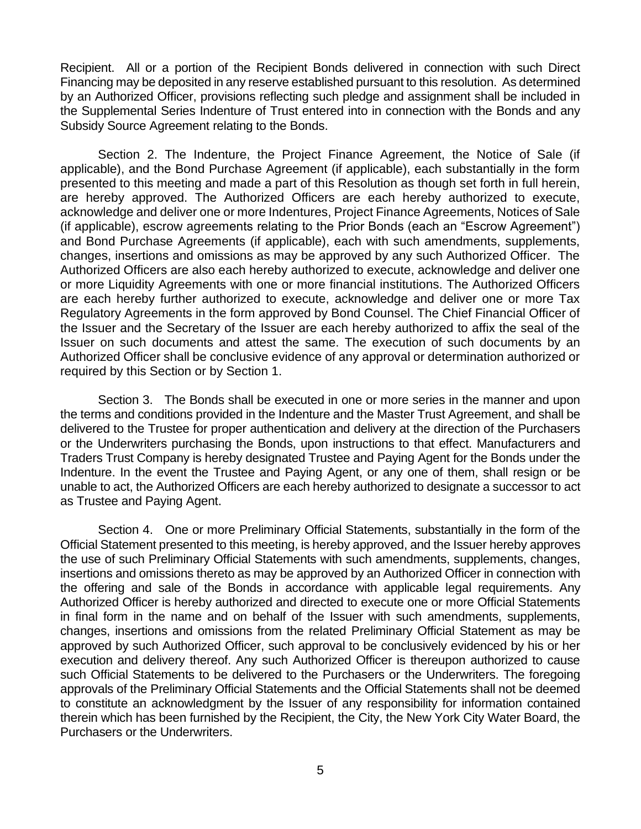Recipient. All or a portion of the Recipient Bonds delivered in connection with such Direct Financing may be deposited in any reserve established pursuant to this resolution. As determined by an Authorized Officer, provisions reflecting such pledge and assignment shall be included in the Supplemental Series Indenture of Trust entered into in connection with the Bonds and any Subsidy Source Agreement relating to the Bonds.

 Section 2. The Indenture, the Project Finance Agreement, the Notice of Sale (if applicable), and the Bond Purchase Agreement (if applicable), each substantially in the form presented to this meeting and made a part of this Resolution as though set forth in full herein, are hereby approved. The Authorized Officers are each hereby authorized to execute, acknowledge and deliver one or more Indentures, Project Finance Agreements, Notices of Sale (if applicable), escrow agreements relating to the Prior Bonds (each an "Escrow Agreement") and Bond Purchase Agreements (if applicable), each with such amendments, supplements, changes, insertions and omissions as may be approved by any such Authorized Officer. The Authorized Officers are also each hereby authorized to execute, acknowledge and deliver one or more Liquidity Agreements with one or more financial institutions. The Authorized Officers are each hereby further authorized to execute, acknowledge and deliver one or more Tax the Issuer and the Secretary of the Issuer are each hereby authorized to affix the seal of the Issuer on such documents and attest the same. The execution of such documents by an Authorized Officer shall be conclusive evidence of any approval or determination authorized or Regulatory Agreements in the form approved by Bond Counsel. The Chief Financial Officer of required by this Section or by Section 1.

 Section 3. The Bonds shall be executed in one or more series in the manner and upon the terms and conditions provided in the Indenture and the Master Trust Agreement, and shall be delivered to the Trustee for proper authentication and delivery at the direction of the Purchasers or the Underwriters purchasing the Bonds, upon instructions to that effect. Manufacturers and Traders Trust Company is hereby designated Trustee and Paying Agent for the Bonds under the Indenture. In the event the Trustee and Paying Agent, or any one of them, shall resign or be unable to act, the Authorized Officers are each hereby authorized to designate a successor to act as Trustee and Paying Agent.

 Section 4. One or more Preliminary Official Statements, substantially in the form of the Official Statement presented to this meeting, is hereby approved, and the Issuer hereby approves the use of such Preliminary Official Statements with such amendments, supplements, changes, insertions and omissions thereto as may be approved by an Authorized Officer in connection with the offering and sale of the Bonds in accordance with applicable legal requirements. Any Authorized Officer is hereby authorized and directed to execute one or more Official Statements in final form in the name and on behalf of the Issuer with such amendments, supplements, changes, insertions and omissions from the related Preliminary Official Statement as may be approved by such Authorized Officer, such approval to be conclusively evidenced by his or her execution and delivery thereof. Any such Authorized Officer is thereupon authorized to cause such Official Statements to be delivered to the Purchasers or the Underwriters. The foregoing approvals of the Preliminary Official Statements and the Official Statements shall not be deemed to constitute an acknowledgment by the Issuer of any responsibility for information contained therein which has been furnished by the Recipient, the City, the New York City Water Board, the Purchasers or the Underwriters.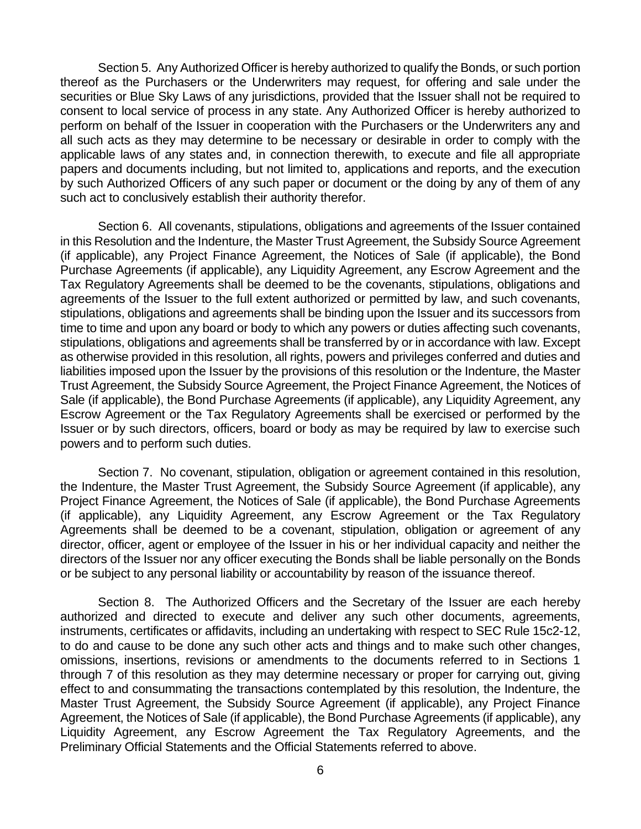Section 5. Any Authorized Officer is hereby authorized to qualify the Bonds, or such portion thereof as the Purchasers or the Underwriters may request, for offering and sale under the securities or Blue Sky Laws of any jurisdictions, provided that the Issuer shall not be required to consent to local service of process in any state. Any Authorized Officer is hereby authorized to perform on behalf of the Issuer in cooperation with the Purchasers or the Underwriters any and all such acts as they may determine to be necessary or desirable in order to comply with the applicable laws of any states and, in connection therewith, to execute and file all appropriate papers and documents including, but not limited to, applications and reports, and the execution by such Authorized Officers of any such paper or document or the doing by any of them of any such act to conclusively establish their authority therefor.

 Section 6. All covenants, stipulations, obligations and agreements of the Issuer contained in this Resolution and the Indenture, the Master Trust Agreement, the Subsidy Source Agreement (if applicable), any Project Finance Agreement, the Notices of Sale (if applicable), the Bond Purchase Agreements (if applicable), any Liquidity Agreement, any Escrow Agreement and the Tax Regulatory Agreements shall be deemed to be the covenants, stipulations, obligations and agreements of the Issuer to the full extent authorized or permitted by law, and such covenants, stipulations, obligations and agreements shall be binding upon the Issuer and its successors from time to time and upon any board or body to which any powers or duties affecting such covenants, stipulations, obligations and agreements shall be transferred by or in accordance with law. Except as otherwise provided in this resolution, all rights, powers and privileges conferred and duties and liabilities imposed upon the Issuer by the provisions of this resolution or the Indenture, the Master Trust Agreement, the Subsidy Source Agreement, the Project Finance Agreement, the Notices of Sale (if applicable), the Bond Purchase Agreements (if applicable), any Liquidity Agreement, any Escrow Agreement or the Tax Regulatory Agreements shall be exercised or performed by the Issuer or by such directors, officers, board or body as may be required by law to exercise such powers and to perform such duties.

 Section 7. No covenant, stipulation, obligation or agreement contained in this resolution, the Indenture, the Master Trust Agreement, the Subsidy Source Agreement (if applicable), any Project Finance Agreement, the Notices of Sale (if applicable), the Bond Purchase Agreements (if applicable), any Liquidity Agreement, any Escrow Agreement or the Tax Regulatory Agreements shall be deemed to be a covenant, stipulation, obligation or agreement of any director, officer, agent or employee of the Issuer in his or her individual capacity and neither the directors of the Issuer nor any officer executing the Bonds shall be liable personally on the Bonds or be subject to any personal liability or accountability by reason of the issuance thereof.

 Section 8. The Authorized Officers and the Secretary of the Issuer are each hereby authorized and directed to execute and deliver any such other documents, agreements, instruments, certificates or affidavits, including an undertaking with respect to SEC Rule 15c2-12, to do and cause to be done any such other acts and things and to make such other changes, omissions, insertions, revisions or amendments to the documents referred to in Sections 1 through 7 of this resolution as they may determine necessary or proper for carrying out, giving effect to and consummating the transactions contemplated by this resolution, the Indenture, the Master Trust Agreement, the Subsidy Source Agreement (if applicable), any Project Finance Agreement, the Notices of Sale (if applicable), the Bond Purchase Agreements (if applicable), any Liquidity Agreement, any Escrow Agreement the Tax Regulatory Agreements, and the Preliminary Official Statements and the Official Statements referred to above.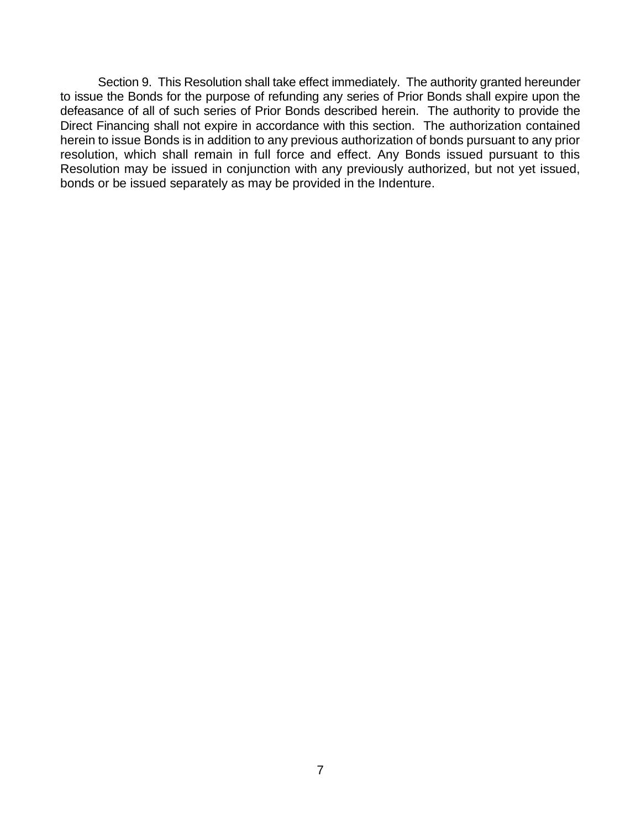Section 9. This Resolution shall take effect immediately. The authority granted hereunder to issue the Bonds for the purpose of refunding any series of Prior Bonds shall expire upon the defeasance of all of such series of Prior Bonds described herein. The authority to provide the Direct Financing shall not expire in accordance with this section. The authorization contained herein to issue Bonds is in addition to any previous authorization of bonds pursuant to any prior resolution, which shall remain in full force and effect. Any Bonds issued pursuant to this Resolution may be issued in conjunction with any previously authorized, but not yet issued, bonds or be issued separately as may be provided in the Indenture.